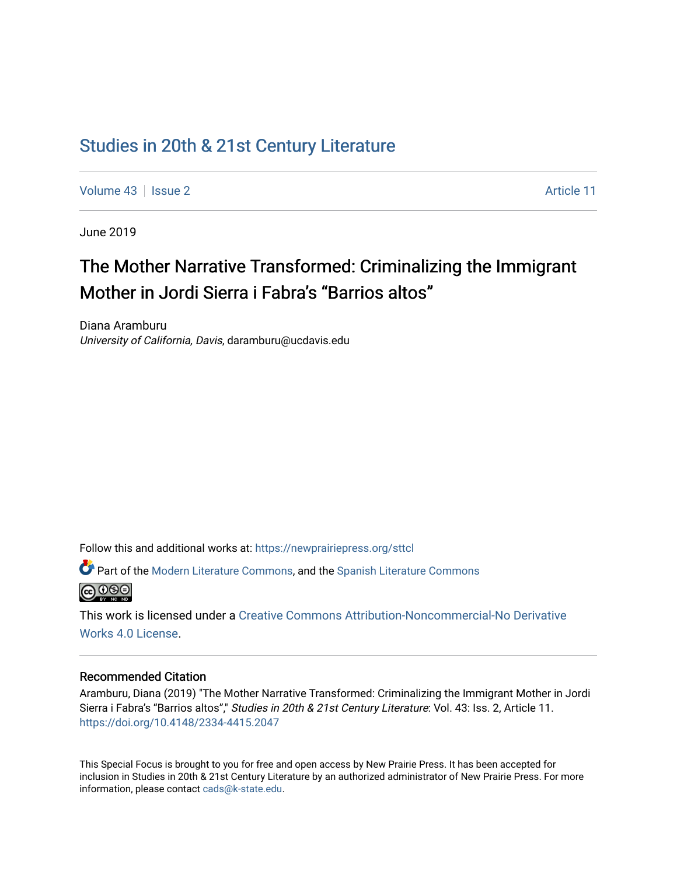## [Studies in 20th & 21st Century Literature](https://newprairiepress.org/sttcl)

[Volume 43](https://newprairiepress.org/sttcl/vol43) | [Issue 2](https://newprairiepress.org/sttcl/vol43/iss2) Article 11

June 2019

# The Mother Narrative Transformed: Criminalizing the Immigrant Mother in Jordi Sierra i Fabra's "Barrios altos"

Diana Aramburu University of California, Davis, daramburu@ucdavis.edu

Follow this and additional works at: [https://newprairiepress.org/sttcl](https://newprairiepress.org/sttcl?utm_source=newprairiepress.org%2Fsttcl%2Fvol43%2Fiss2%2F11&utm_medium=PDF&utm_campaign=PDFCoverPages) 

Part of the [Modern Literature Commons,](http://network.bepress.com/hgg/discipline/1050?utm_source=newprairiepress.org%2Fsttcl%2Fvol43%2Fiss2%2F11&utm_medium=PDF&utm_campaign=PDFCoverPages) and the [Spanish Literature Commons](http://network.bepress.com/hgg/discipline/550?utm_source=newprairiepress.org%2Fsttcl%2Fvol43%2Fiss2%2F11&utm_medium=PDF&utm_campaign=PDFCoverPages)  <u>@ 000</u>

This work is licensed under a [Creative Commons Attribution-Noncommercial-No Derivative](https://creativecommons.org/licenses/by-nc-nd/4.0/)  [Works 4.0 License](https://creativecommons.org/licenses/by-nc-nd/4.0/).

#### Recommended Citation

Aramburu, Diana (2019) "The Mother Narrative Transformed: Criminalizing the Immigrant Mother in Jordi Sierra i Fabra's "Barrios altos"," Studies in 20th & 21st Century Literature: Vol. 43: Iss. 2, Article 11. <https://doi.org/10.4148/2334-4415.2047>

This Special Focus is brought to you for free and open access by New Prairie Press. It has been accepted for inclusion in Studies in 20th & 21st Century Literature by an authorized administrator of New Prairie Press. For more information, please contact [cads@k-state.edu](mailto:cads@k-state.edu).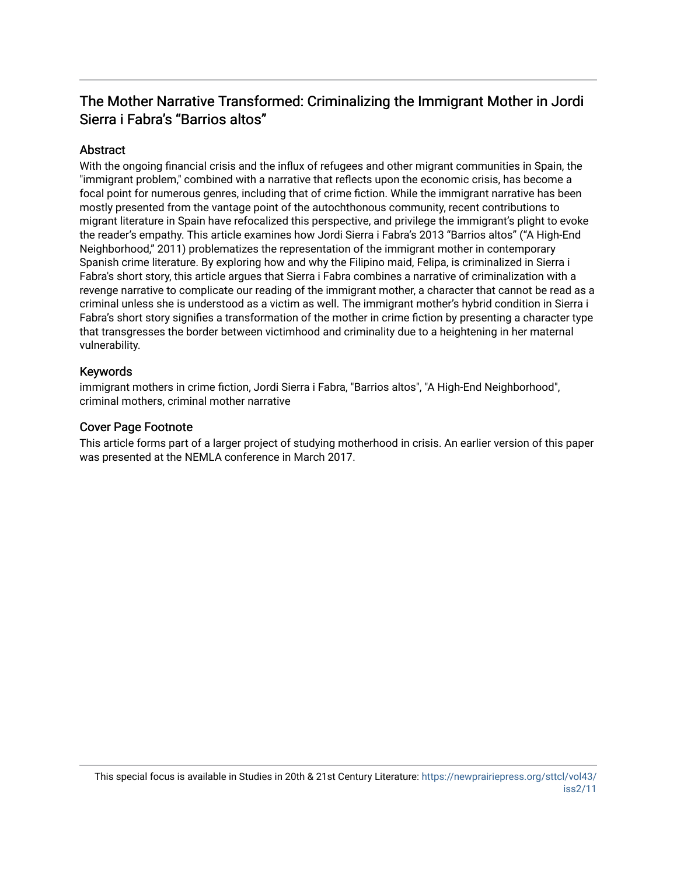## The Mother Narrative Transformed: Criminalizing the Immigrant Mother in Jordi Sierra i Fabra's "Barrios altos"

#### **Abstract**

With the ongoing financial crisis and the influx of refugees and other migrant communities in Spain, the "immigrant problem," combined with a narrative that reflects upon the economic crisis, has become a focal point for numerous genres, including that of crime fiction. While the immigrant narrative has been mostly presented from the vantage point of the autochthonous community, recent contributions to migrant literature in Spain have refocalized this perspective, and privilege the immigrant's plight to evoke the reader's empathy. This article examines how Jordi Sierra i Fabra's 2013 "Barrios altos" ("A High-End Neighborhood," 2011) problematizes the representation of the immigrant mother in contemporary Spanish crime literature. By exploring how and why the Filipino maid, Felipa, is criminalized in Sierra i Fabra's short story, this article argues that Sierra i Fabra combines a narrative of criminalization with a revenge narrative to complicate our reading of the immigrant mother, a character that cannot be read as a criminal unless she is understood as a victim as well. The immigrant mother's hybrid condition in Sierra i Fabra's short story signifies a transformation of the mother in crime fiction by presenting a character type that transgresses the border between victimhood and criminality due to a heightening in her maternal vulnerability.

#### Keywords

immigrant mothers in crime fiction, Jordi Sierra i Fabra, "Barrios altos", "A High-End Neighborhood", criminal mothers, criminal mother narrative

#### Cover Page Footnote

This article forms part of a larger project of studying motherhood in crisis. An earlier version of this paper was presented at the NEMLA conference in March 2017.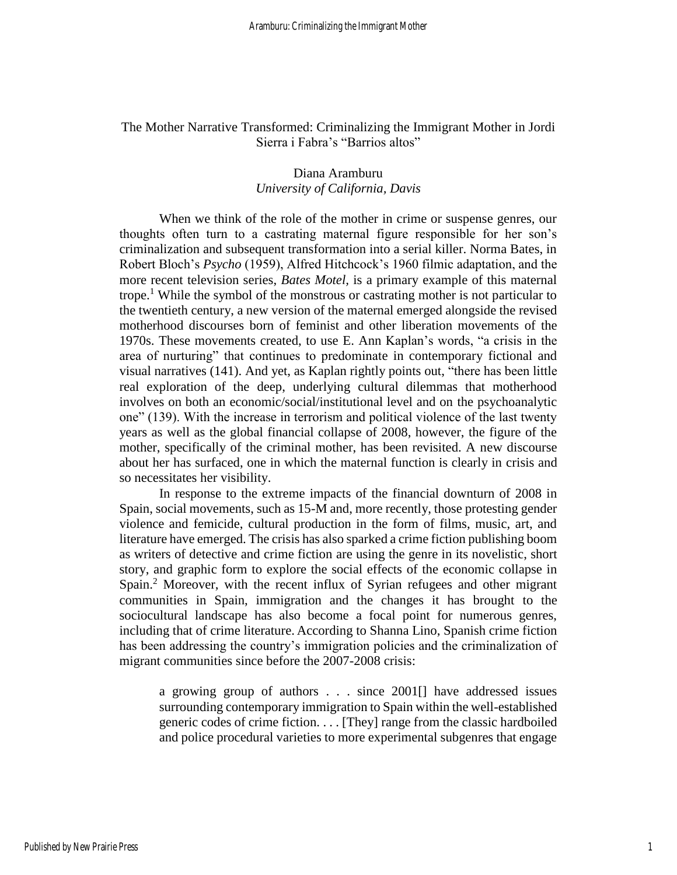#### The Mother Narrative Transformed: Criminalizing the Immigrant Mother in Jordi Sierra i Fabra's "Barrios altos"

### Diana Aramburu *University of California, Davis*

When we think of the role of the mother in crime or suspense genres, our thoughts often turn to a castrating maternal figure responsible for her son's criminalization and subsequent transformation into a serial killer. Norma Bates, in Robert Bloch's *Psycho* (1959), Alfred Hitchcock's 1960 filmic adaptation, and the more recent television series, *Bates Motel,* is a primary example of this maternal trope. <sup>1</sup> While the symbol of the monstrous or castrating mother is not particular to the twentieth century, a new version of the maternal emerged alongside the revised motherhood discourses born of feminist and other liberation movements of the 1970s. These movements created, to use E. Ann Kaplan's words, "a crisis in the area of nurturing" that continues to predominate in contemporary fictional and visual narratives (141). And yet, as Kaplan rightly points out, "there has been little real exploration of the deep, underlying cultural dilemmas that motherhood involves on both an economic/social/institutional level and on the psychoanalytic one" (139). With the increase in terrorism and political violence of the last twenty years as well as the global financial collapse of 2008, however, the figure of the mother, specifically of the criminal mother, has been revisited. A new discourse about her has surfaced, one in which the maternal function is clearly in crisis and so necessitates her visibility.

In response to the extreme impacts of the financial downturn of 2008 in Spain, social movements, such as 15-M and, more recently, those protesting gender violence and femicide, cultural production in the form of films, music, art, and literature have emerged. The crisis has also sparked a crime fiction publishing boom as writers of detective and crime fiction are using the genre in its novelistic, short story, and graphic form to explore the social effects of the economic collapse in Spain. <sup>2</sup> Moreover, with the recent influx of Syrian refugees and other migrant communities in Spain, immigration and the changes it has brought to the sociocultural landscape has also become a focal point for numerous genres, including that of crime literature. According to Shanna Lino, Spanish crime fiction has been addressing the country's immigration policies and the criminalization of migrant communities since before the 2007-2008 crisis:

a growing group of authors . . . since 2001[] have addressed issues surrounding contemporary immigration to Spain within the well-established generic codes of crime fiction. . . . [They] range from the classic hardboiled and police procedural varieties to more experimental subgenres that engage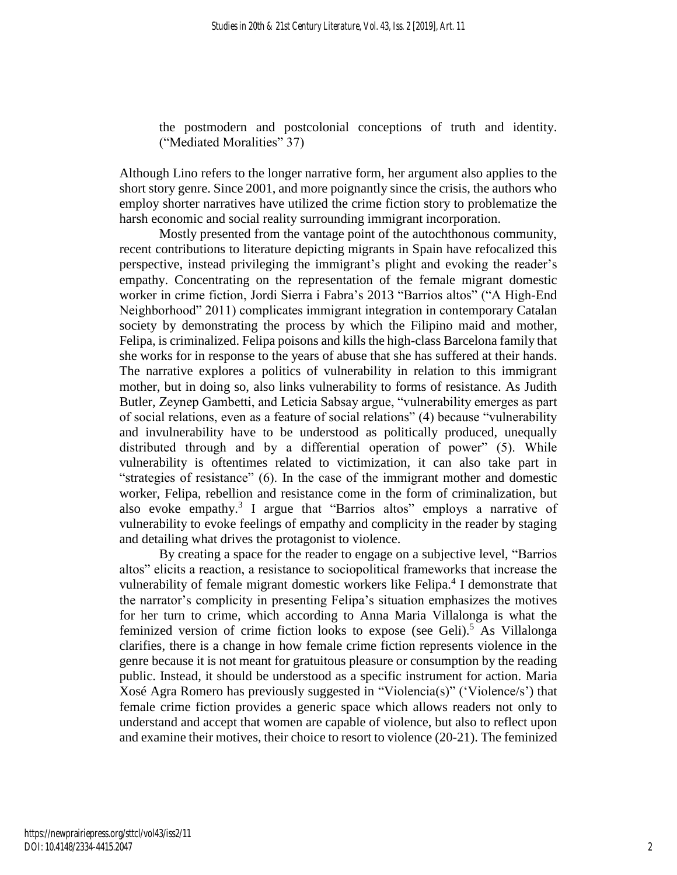the postmodern and postcolonial conceptions of truth and identity. ("Mediated Moralities" 37)

Although Lino refers to the longer narrative form, her argument also applies to the short story genre. Since 2001, and more poignantly since the crisis, the authors who employ shorter narratives have utilized the crime fiction story to problematize the harsh economic and social reality surrounding immigrant incorporation.

Mostly presented from the vantage point of the autochthonous community, recent contributions to literature depicting migrants in Spain have refocalized this perspective, instead privileging the immigrant's plight and evoking the reader's empathy. Concentrating on the representation of the female migrant domestic worker in crime fiction, Jordi Sierra i Fabra's 2013 "Barrios altos" ("A High-End Neighborhood" 2011) complicates immigrant integration in contemporary Catalan society by demonstrating the process by which the Filipino maid and mother, Felipa, is criminalized. Felipa poisons and kills the high-class Barcelona family that she works for in response to the years of abuse that she has suffered at their hands. The narrative explores a politics of vulnerability in relation to this immigrant mother, but in doing so, also links vulnerability to forms of resistance. As Judith Butler, Zeynep Gambetti, and Leticia Sabsay argue, "vulnerability emerges as part of social relations, even as a feature of social relations" (4) because "vulnerability and invulnerability have to be understood as politically produced, unequally distributed through and by a differential operation of power" (5). While vulnerability is oftentimes related to victimization, it can also take part in "strategies of resistance" (6). In the case of the immigrant mother and domestic worker, Felipa, rebellion and resistance come in the form of criminalization, but also evoke empathy.<sup>3</sup> I argue that "Barrios altos" employs a narrative of vulnerability to evoke feelings of empathy and complicity in the reader by staging and detailing what drives the protagonist to violence.

By creating a space for the reader to engage on a subjective level, "Barrios altos" elicits a reaction, a resistance to sociopolitical frameworks that increase the vulnerability of female migrant domestic workers like Felipa.<sup>4</sup> I demonstrate that the narrator's complicity in presenting Felipa's situation emphasizes the motives for her turn to crime, which according to Anna Maria Villalonga is what the feminized version of crime fiction looks to expose (see Geli).<sup>5</sup> As Villalonga clarifies, there is a change in how female crime fiction represents violence in the genre because it is not meant for gratuitous pleasure or consumption by the reading public. Instead, it should be understood as a specific instrument for action. Maria Xosé Agra Romero has previously suggested in "Violencia(s)" ('Violence/s') that female crime fiction provides a generic space which allows readers not only to understand and accept that women are capable of violence, but also to reflect upon and examine their motives, their choice to resort to violence (20-21). The feminized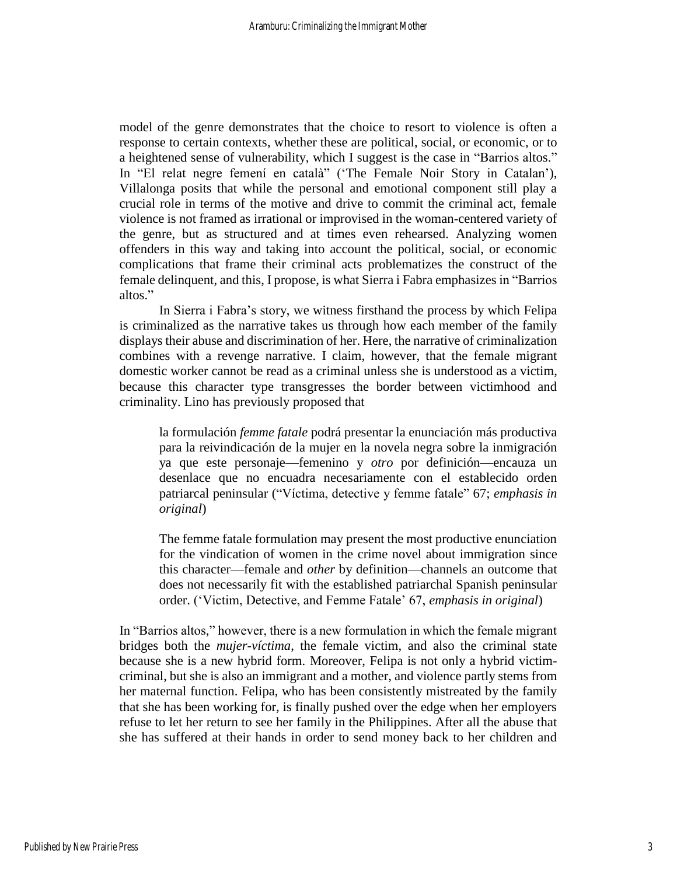model of the genre demonstrates that the choice to resort to violence is often a response to certain contexts, whether these are political, social, or economic, or to a heightened sense of vulnerability, which I suggest is the case in "Barrios altos." In "El relat negre femení en català" ('The Female Noir Story in Catalan'), Villalonga posits that while the personal and emotional component still play a crucial role in terms of the motive and drive to commit the criminal act, female violence is not framed as irrational or improvised in the woman-centered variety of the genre, but as structured and at times even rehearsed. Analyzing women offenders in this way and taking into account the political, social, or economic complications that frame their criminal acts problematizes the construct of the female delinquent, and this, I propose, is what Sierra i Fabra emphasizes in "Barrios altos."

In Sierra i Fabra's story, we witness firsthand the process by which Felipa is criminalized as the narrative takes us through how each member of the family displays their abuse and discrimination of her. Here, the narrative of criminalization combines with a revenge narrative. I claim, however, that the female migrant domestic worker cannot be read as a criminal unless she is understood as a victim, because this character type transgresses the border between victimhood and criminality. Lino has previously proposed that

la formulación *femme fatale* podrá presentar la enunciación más productiva para la reivindicación de la mujer en la novela negra sobre la inmigración ya que este personaje—femenino y *otro* por definición—encauza un desenlace que no encuadra necesariamente con el establecido orden patriarcal peninsular ("Víctima, detective y femme fatale" 67; *emphasis in original*)

The femme fatale formulation may present the most productive enunciation for the vindication of women in the crime novel about immigration since this character—female and *other* by definition—channels an outcome that does not necessarily fit with the established patriarchal Spanish peninsular order. ('Victim, Detective, and Femme Fatale' 67, *emphasis in original*)

In "Barrios altos," however, there is a new formulation in which the female migrant bridges both the *mujer-víctima*, the female victim, and also the criminal state because she is a new hybrid form. Moreover, Felipa is not only a hybrid victimcriminal, but she is also an immigrant and a mother, and violence partly stems from her maternal function. Felipa, who has been consistently mistreated by the family that she has been working for, is finally pushed over the edge when her employers refuse to let her return to see her family in the Philippines. After all the abuse that she has suffered at their hands in order to send money back to her children and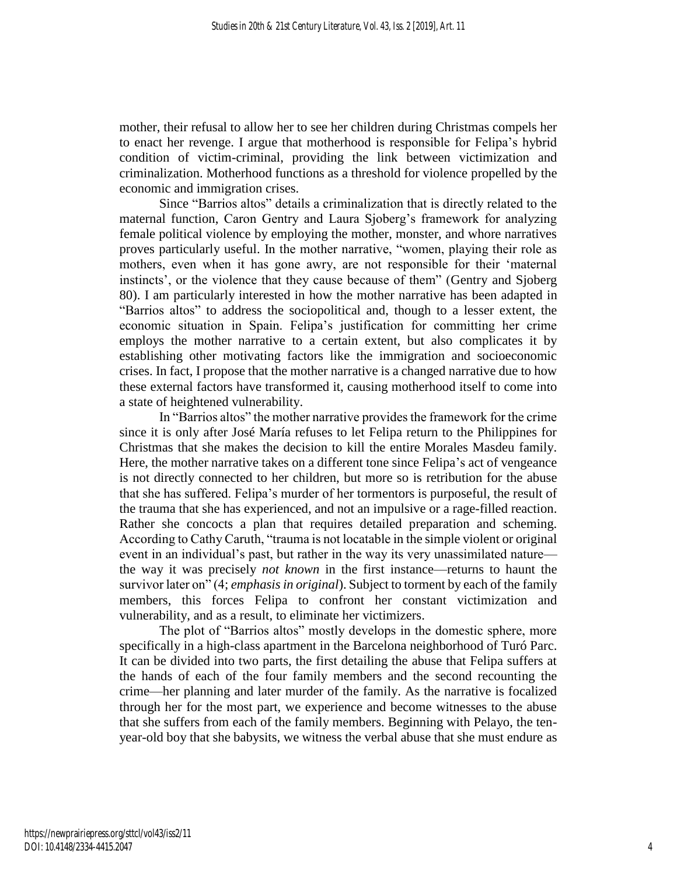mother, their refusal to allow her to see her children during Christmas compels her to enact her revenge. I argue that motherhood is responsible for Felipa's hybrid condition of victim-criminal, providing the link between victimization and criminalization. Motherhood functions as a threshold for violence propelled by the economic and immigration crises.

Since "Barrios altos" details a criminalization that is directly related to the maternal function, Caron Gentry and Laura Sjoberg's framework for analyzing female political violence by employing the mother, monster, and whore narratives proves particularly useful. In the mother narrative, "women, playing their role as mothers, even when it has gone awry, are not responsible for their 'maternal instincts', or the violence that they cause because of them" (Gentry and Sjoberg 80). I am particularly interested in how the mother narrative has been adapted in "Barrios altos" to address the sociopolitical and, though to a lesser extent, the economic situation in Spain. Felipa's justification for committing her crime employs the mother narrative to a certain extent, but also complicates it by establishing other motivating factors like the immigration and socioeconomic crises. In fact, I propose that the mother narrative is a changed narrative due to how these external factors have transformed it, causing motherhood itself to come into a state of heightened vulnerability.

In "Barrios altos" the mother narrative provides the framework for the crime since it is only after José María refuses to let Felipa return to the Philippines for Christmas that she makes the decision to kill the entire Morales Masdeu family. Here, the mother narrative takes on a different tone since Felipa's act of vengeance is not directly connected to her children, but more so is retribution for the abuse that she has suffered. Felipa's murder of her tormentors is purposeful, the result of the trauma that she has experienced, and not an impulsive or a rage-filled reaction. Rather she concocts a plan that requires detailed preparation and scheming. According to Cathy Caruth, "trauma is not locatable in the simple violent or original event in an individual's past, but rather in the way its very unassimilated nature the way it was precisely *not known* in the first instance—returns to haunt the survivor later on" (4; *emphasis in original*). Subject to torment by each of the family members, this forces Felipa to confront her constant victimization and vulnerability, and as a result, to eliminate her victimizers.

The plot of "Barrios altos" mostly develops in the domestic sphere, more specifically in a high-class apartment in the Barcelona neighborhood of Turó Parc. It can be divided into two parts, the first detailing the abuse that Felipa suffers at the hands of each of the four family members and the second recounting the crime—her planning and later murder of the family. As the narrative is focalized through her for the most part, we experience and become witnesses to the abuse that she suffers from each of the family members. Beginning with Pelayo, the tenyear-old boy that she babysits, we witness the verbal abuse that she must endure as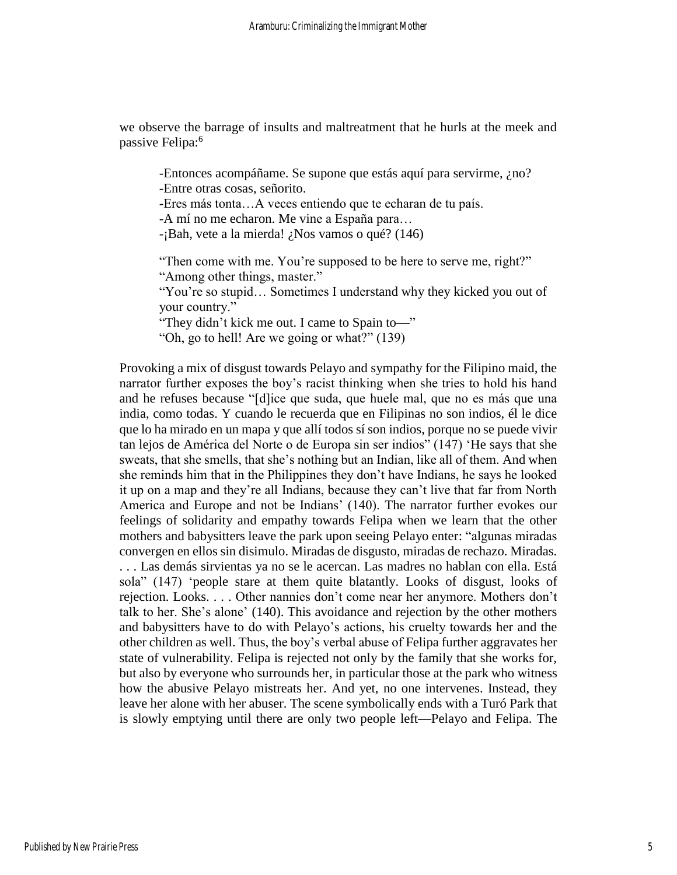we observe the barrage of insults and maltreatment that he hurls at the meek and passive Felipa:<sup>6</sup>

-Entonces acompáñame. Se supone que estás aquí para servirme, ¿no? -Entre otras cosas, señorito.

-Eres más tonta…A veces entiendo que te echaran de tu país.

-A mí no me echaron. Me vine a España para…

-¡Bah, vete a la mierda! ¿Nos vamos o qué? (146)

"Then come with me. You're supposed to be here to serve me, right?" "Among other things, master."

"You're so stupid… Sometimes I understand why they kicked you out of your country."

"They didn't kick me out. I came to Spain to—"

"Oh, go to hell! Are we going or what?" (139)

Provoking a mix of disgust towards Pelayo and sympathy for the Filipino maid, the narrator further exposes the boy's racist thinking when she tries to hold his hand and he refuses because "[d]ice que suda, que huele mal, que no es más que una india, como todas. Y cuando le recuerda que en Filipinas no son indios, él le dice que lo ha mirado en un mapa y que allí todos sí son indios, porque no se puede vivir tan lejos de América del Norte o de Europa sin ser indios" (147) 'He says that she sweats, that she smells, that she's nothing but an Indian, like all of them. And when she reminds him that in the Philippines they don't have Indians, he says he looked it up on a map and they're all Indians, because they can't live that far from North America and Europe and not be Indians' (140). The narrator further evokes our feelings of solidarity and empathy towards Felipa when we learn that the other mothers and babysitters leave the park upon seeing Pelayo enter: "algunas miradas convergen en ellos sin disimulo. Miradas de disgusto, miradas de rechazo. Miradas. . . . Las demás sirvientas ya no se le acercan. Las madres no hablan con ella. Está sola" (147) 'people stare at them quite blatantly. Looks of disgust, looks of rejection. Looks. . . . Other nannies don't come near her anymore. Mothers don't talk to her. She's alone' (140). This avoidance and rejection by the other mothers and babysitters have to do with Pelayo's actions, his cruelty towards her and the other children as well. Thus, the boy's verbal abuse of Felipa further aggravates her state of vulnerability. Felipa is rejected not only by the family that she works for, but also by everyone who surrounds her, in particular those at the park who witness how the abusive Pelayo mistreats her. And yet, no one intervenes. Instead, they leave her alone with her abuser. The scene symbolically ends with a Turó Park that is slowly emptying until there are only two people left—Pelayo and Felipa. The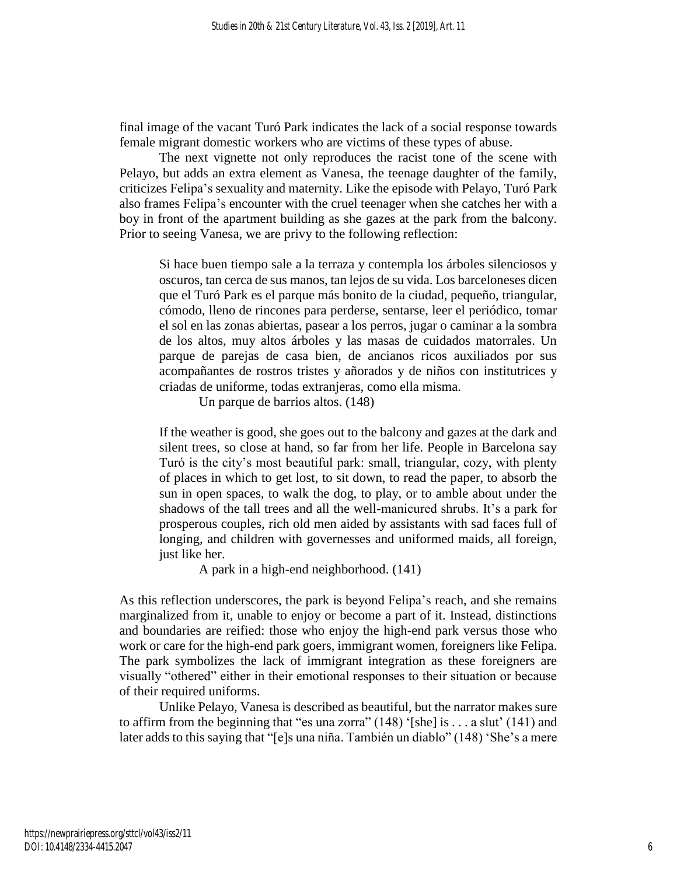final image of the vacant Turó Park indicates the lack of a social response towards female migrant domestic workers who are victims of these types of abuse.

The next vignette not only reproduces the racist tone of the scene with Pelayo, but adds an extra element as Vanesa, the teenage daughter of the family, criticizes Felipa's sexuality and maternity. Like the episode with Pelayo, Turó Park also frames Felipa's encounter with the cruel teenager when she catches her with a boy in front of the apartment building as she gazes at the park from the balcony. Prior to seeing Vanesa, we are privy to the following reflection:

Si hace buen tiempo sale a la terraza y contempla los árboles silenciosos y oscuros, tan cerca de sus manos, tan lejos de su vida. Los barceloneses dicen que el Turó Park es el parque más bonito de la ciudad, pequeño, triangular, cómodo, lleno de rincones para perderse, sentarse, leer el periódico, tomar el sol en las zonas abiertas, pasear a los perros, jugar o caminar a la sombra de los altos, muy altos árboles y las masas de cuidados matorrales. Un parque de parejas de casa bien, de ancianos ricos auxiliados por sus acompañantes de rostros tristes y añorados y de niños con institutrices y criadas de uniforme, todas extranjeras, como ella misma.

Un parque de barrios altos. (148)

If the weather is good, she goes out to the balcony and gazes at the dark and silent trees, so close at hand, so far from her life. People in Barcelona say Turó is the city's most beautiful park: small, triangular, cozy, with plenty of places in which to get lost, to sit down, to read the paper, to absorb the sun in open spaces, to walk the dog, to play, or to amble about under the shadows of the tall trees and all the well-manicured shrubs. It's a park for prosperous couples, rich old men aided by assistants with sad faces full of longing, and children with governesses and uniformed maids, all foreign, just like her.

A park in a high-end neighborhood. (141)

As this reflection underscores, the park is beyond Felipa's reach, and she remains marginalized from it, unable to enjoy or become a part of it. Instead, distinctions and boundaries are reified: those who enjoy the high-end park versus those who work or care for the high-end park goers, immigrant women, foreigners like Felipa. The park symbolizes the lack of immigrant integration as these foreigners are visually "othered" either in their emotional responses to their situation or because of their required uniforms.

Unlike Pelayo, Vanesa is described as beautiful, but the narrator makes sure to affirm from the beginning that "es una zorra"  $(148)$  '[she] is . . . a slut'  $(141)$  and later adds to this saying that "[e]s una niña. También un diablo" (148) 'She's a mere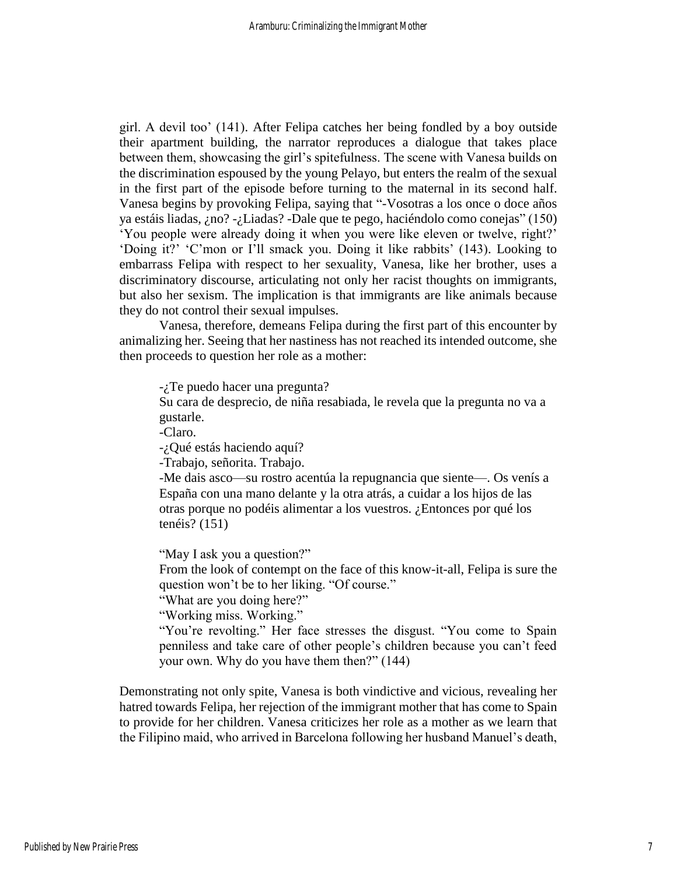girl. A devil too' (141). After Felipa catches her being fondled by a boy outside their apartment building, the narrator reproduces a dialogue that takes place between them, showcasing the girl's spitefulness. The scene with Vanesa builds on the discrimination espoused by the young Pelayo, but enters the realm of the sexual in the first part of the episode before turning to the maternal in its second half. Vanesa begins by provoking Felipa, saying that "-Vosotras a los once o doce años ya estáis liadas, ¿no? -¿Liadas? -Dale que te pego, haciéndolo como conejas" (150) 'You people were already doing it when you were like eleven or twelve, right?' 'Doing it?' 'C'mon or I'll smack you. Doing it like rabbits' (143). Looking to embarrass Felipa with respect to her sexuality, Vanesa, like her brother, uses a discriminatory discourse, articulating not only her racist thoughts on immigrants, but also her sexism. The implication is that immigrants are like animals because they do not control their sexual impulses.

Vanesa, therefore, demeans Felipa during the first part of this encounter by animalizing her. Seeing that her nastiness has not reached its intended outcome, she then proceeds to question her role as a mother:

 $-i$ . Te puedo hacer una pregunta?

Su cara de desprecio, de niña resabiada, le revela que la pregunta no va a gustarle.

-Claro.

-¿Qué estás haciendo aquí?

-Trabajo, señorita. Trabajo.

-Me dais asco—su rostro acentúa la repugnancia que siente—. Os venís a España con una mano delante y la otra atrás, a cuidar a los hijos de las otras porque no podéis alimentar a los vuestros. ¿Entonces por qué los tenéis? (151)

"May I ask you a question?"

From the look of contempt on the face of this know-it-all, Felipa is sure the question won't be to her liking. "Of course."

"What are you doing here?"

"Working miss. Working."

"You're revolting." Her face stresses the disgust. "You come to Spain penniless and take care of other people's children because you can't feed your own. Why do you have them then?" (144)

Demonstrating not only spite, Vanesa is both vindictive and vicious, revealing her hatred towards Felipa, her rejection of the immigrant mother that has come to Spain to provide for her children. Vanesa criticizes her role as a mother as we learn that the Filipino maid, who arrived in Barcelona following her husband Manuel's death,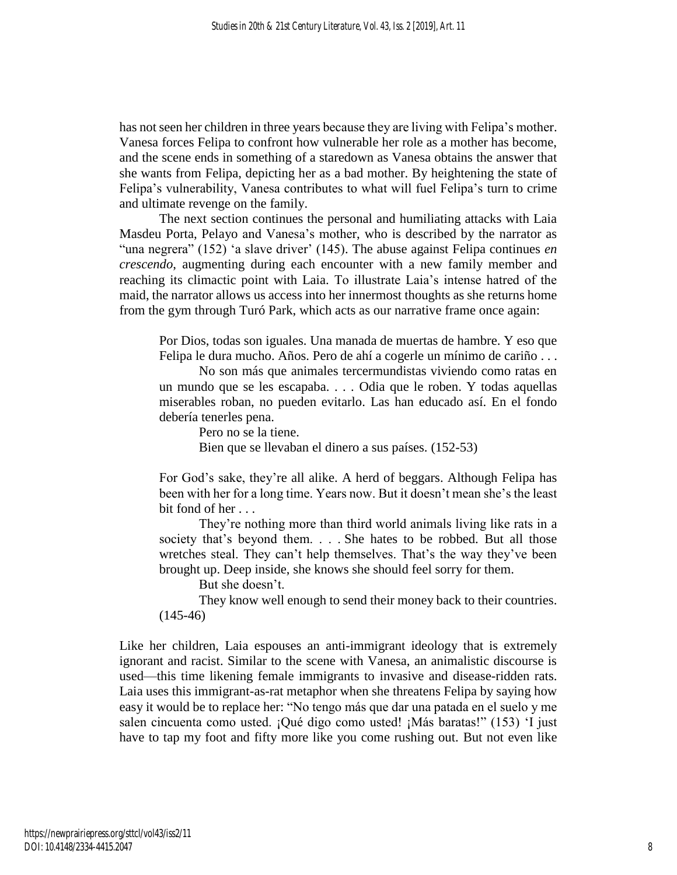has not seen her children in three years because they are living with Felipa's mother. Vanesa forces Felipa to confront how vulnerable her role as a mother has become, and the scene ends in something of a staredown as Vanesa obtains the answer that she wants from Felipa, depicting her as a bad mother. By heightening the state of Felipa's vulnerability, Vanesa contributes to what will fuel Felipa's turn to crime and ultimate revenge on the family.

The next section continues the personal and humiliating attacks with Laia Masdeu Porta, Pelayo and Vanesa's mother, who is described by the narrator as "una negrera" (152) 'a slave driver' (145). The abuse against Felipa continues *en crescendo*, augmenting during each encounter with a new family member and reaching its climactic point with Laia. To illustrate Laia's intense hatred of the maid, the narrator allows us access into her innermost thoughts as she returns home from the gym through Turó Park, which acts as our narrative frame once again:

Por Dios, todas son iguales. Una manada de muertas de hambre. Y eso que Felipa le dura mucho. Años. Pero de ahí a cogerle un mínimo de cariño . . .

No son más que animales tercermundistas viviendo como ratas en un mundo que se les escapaba. . . . Odia que le roben. Y todas aquellas miserables roban, no pueden evitarlo. Las han educado así. En el fondo debería tenerles pena.

Pero no se la tiene.

Bien que se llevaban el dinero a sus países. (152-53)

For God's sake, they're all alike. A herd of beggars. Although Felipa has been with her for a long time. Years now. But it doesn't mean she's the least bit fond of her . . .

They're nothing more than third world animals living like rats in a society that's beyond them. . . . She hates to be robbed. But all those wretches steal. They can't help themselves. That's the way they've been brought up. Deep inside, she knows she should feel sorry for them.

But she doesn't.

They know well enough to send their money back to their countries. (145-46)

Like her children, Laia espouses an anti-immigrant ideology that is extremely ignorant and racist. Similar to the scene with Vanesa, an animalistic discourse is used—this time likening female immigrants to invasive and disease-ridden rats. Laia uses this immigrant-as-rat metaphor when she threatens Felipa by saying how easy it would be to replace her: "No tengo más que dar una patada en el suelo y me salen cincuenta como usted. ¡Qué digo como usted! ¡Más baratas!" (153) 'I just have to tap my foot and fifty more like you come rushing out. But not even like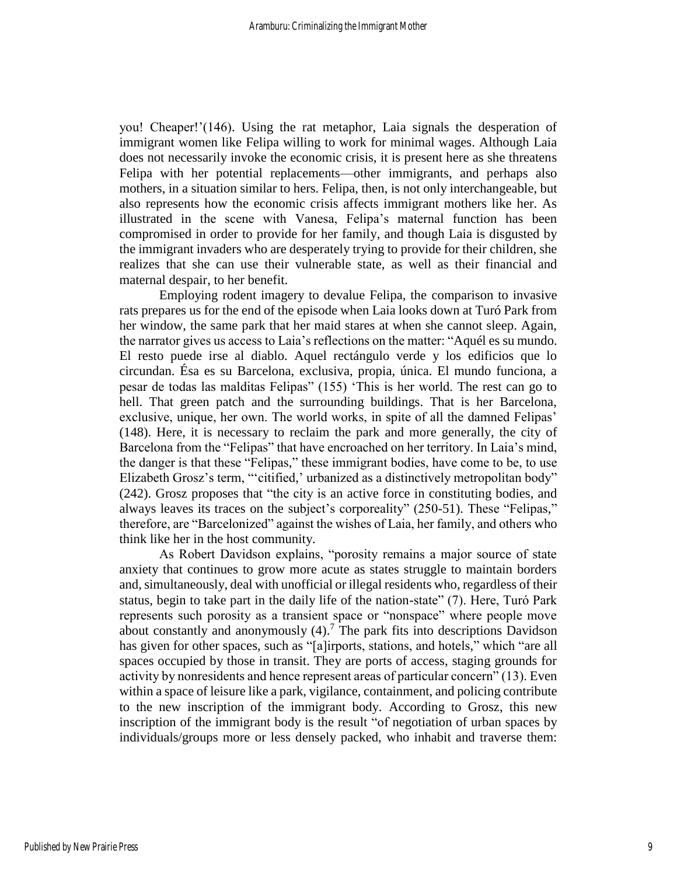you! Cheaper!'(146). Using the rat metaphor, Laia signals the desperation of immigrant women like Felipa willing to work for minimal wages. Although Laia does not necessarily invoke the economic crisis, it is present here as she threatens Felipa with her potential replacements—other immigrants, and perhaps also mothers, in a situation similar to hers. Felipa, then, is not only interchangeable, but also represents how the economic crisis affects immigrant mothers like her. As illustrated in the scene with Vanesa, Felipa's maternal function has been compromised in order to provide for her family, and though Laia is disgusted by the immigrant invaders who are desperately trying to provide for their children, she realizes that she can use their vulnerable state, as well as their financial and maternal despair, to her benefit.

Employing rodent imagery to devalue Felipa, the comparison to invasive rats prepares us for the end of the episode when Laia looks down at Turó Park from her window, the same park that her maid stares at when she cannot sleep. Again, the narrator gives us access to Laia's reflections on the matter: "Aquél es su mundo. El resto puede irse al diablo. Aquel rectángulo verde y los edificios que lo circundan. Ésa es su Barcelona, exclusiva, propia, única. El mundo funciona, a pesar de todas las malditas Felipas" (155) 'This is her world. The rest can go to hell. That green patch and the surrounding buildings. That is her Barcelona, exclusive, unique, her own. The world works, in spite of all the damned Felipas' (148). Here, it is necessary to reclaim the park and more generally, the city of Barcelona from the "Felipas" that have encroached on her territory. In Laia's mind, the danger is that these "Felipas," these immigrant bodies, have come to be, to use Elizabeth Grosz's term, "'citified,' urbanized as a distinctively metropolitan body" (242). Grosz proposes that "the city is an active force in constituting bodies, and always leaves its traces on the subject's corporeality" (250-51). These "Felipas," therefore, are "Barcelonized" against the wishes of Laia, her family, and others who think like her in the host community.

As Robert Davidson explains, "porosity remains a major source of state anxiety that continues to grow more acute as states struggle to maintain borders and, simultaneously, deal with unofficial or illegal residents who, regardless of their status, begin to take part in the daily life of the nation-state" (7). Here, Turó Park represents such porosity as a transient space or "nonspace" where people move about constantly and anonymously  $(4)$ .<sup>7</sup> The park fits into descriptions Davidson has given for other spaces, such as "[a]irports, stations, and hotels," which "are all spaces occupied by those in transit. They are ports of access, staging grounds for activity by nonresidents and hence represent areas of particular concern" (13). Even within a space of leisure like a park, vigilance, containment, and policing contribute to the new inscription of the immigrant body. According to Grosz, this new inscription of the immigrant body is the result "of negotiation of urban spaces by individuals/groups more or less densely packed, who inhabit and traverse them: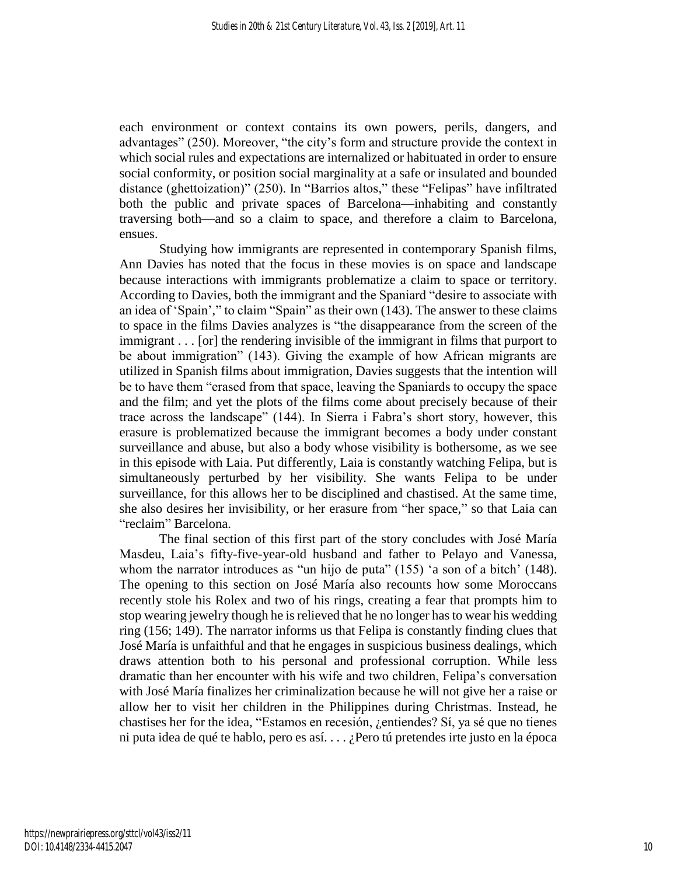each environment or context contains its own powers, perils, dangers, and advantages" (250). Moreover, "the city's form and structure provide the context in which social rules and expectations are internalized or habituated in order to ensure social conformity, or position social marginality at a safe or insulated and bounded distance (ghettoization)" (250). In "Barrios altos," these "Felipas" have infiltrated both the public and private spaces of Barcelona—inhabiting and constantly traversing both—and so a claim to space, and therefore a claim to Barcelona, ensues.

Studying how immigrants are represented in contemporary Spanish films, Ann Davies has noted that the focus in these movies is on space and landscape because interactions with immigrants problematize a claim to space or territory. According to Davies, both the immigrant and the Spaniard "desire to associate with an idea of 'Spain'," to claim "Spain" as their own (143). The answer to these claims to space in the films Davies analyzes is "the disappearance from the screen of the immigrant . . . [or] the rendering invisible of the immigrant in films that purport to be about immigration" (143). Giving the example of how African migrants are utilized in Spanish films about immigration, Davies suggests that the intention will be to have them "erased from that space, leaving the Spaniards to occupy the space and the film; and yet the plots of the films come about precisely because of their trace across the landscape" (144). In Sierra i Fabra's short story, however, this erasure is problematized because the immigrant becomes a body under constant surveillance and abuse, but also a body whose visibility is bothersome, as we see in this episode with Laia. Put differently, Laia is constantly watching Felipa, but is simultaneously perturbed by her visibility. She wants Felipa to be under surveillance, for this allows her to be disciplined and chastised. At the same time, she also desires her invisibility, or her erasure from "her space," so that Laia can "reclaim" Barcelona.

The final section of this first part of the story concludes with José María Masdeu, Laia's fifty-five-year-old husband and father to Pelayo and Vanessa, whom the narrator introduces as "un hijo de puta" (155) 'a son of a bitch' (148). The opening to this section on José María also recounts how some Moroccans recently stole his Rolex and two of his rings, creating a fear that prompts him to stop wearing jewelry though he is relieved that he no longer has to wear his wedding ring (156; 149). The narrator informs us that Felipa is constantly finding clues that José María is unfaithful and that he engages in suspicious business dealings, which draws attention both to his personal and professional corruption. While less dramatic than her encounter with his wife and two children, Felipa's conversation with José María finalizes her criminalization because he will not give her a raise or allow her to visit her children in the Philippines during Christmas. Instead, he chastises her for the idea, "Estamos en recesión, ¿entiendes? Sí, ya sé que no tienes ni puta idea de qué te hablo, pero es así. . . . ¿Pero tú pretendes irte justo en la época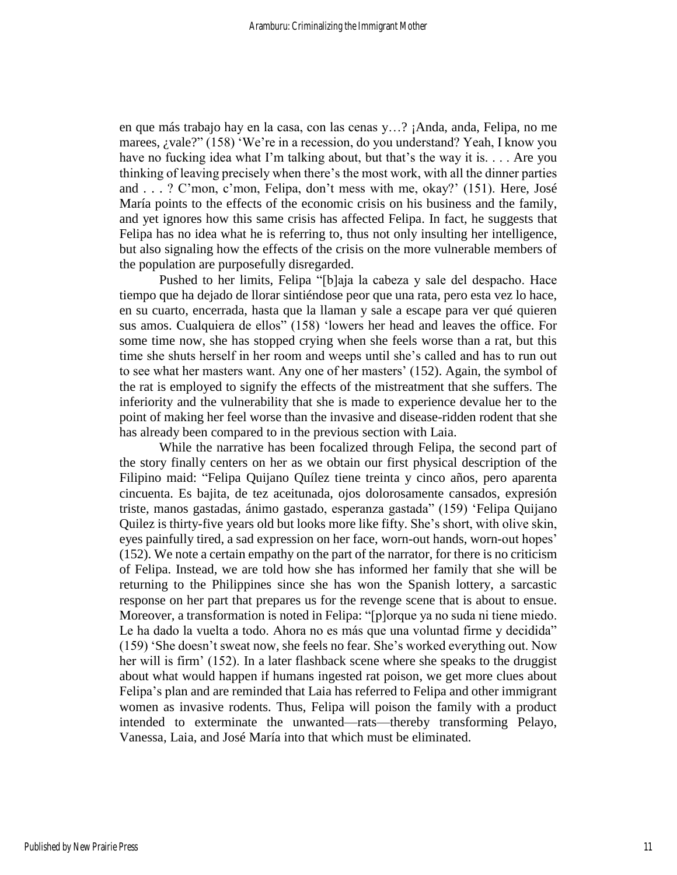en que más trabajo hay en la casa, con las cenas y…? ¡Anda, anda, Felipa, no me marees, *i* vale?" (158) 'We're in a recession, do you understand? Yeah, I know you have no fucking idea what I'm talking about, but that's the way it is. . . . Are you thinking of leaving precisely when there's the most work, with all the dinner parties and . . . ? C'mon, c'mon, Felipa, don't mess with me, okay?' (151). Here, José María points to the effects of the economic crisis on his business and the family, and yet ignores how this same crisis has affected Felipa. In fact, he suggests that Felipa has no idea what he is referring to, thus not only insulting her intelligence, but also signaling how the effects of the crisis on the more vulnerable members of the population are purposefully disregarded.

Pushed to her limits, Felipa "[b]aja la cabeza y sale del despacho. Hace tiempo que ha dejado de llorar sintiéndose peor que una rata, pero esta vez lo hace, en su cuarto, encerrada, hasta que la llaman y sale a escape para ver qué quieren sus amos. Cualquiera de ellos" (158) 'lowers her head and leaves the office. For some time now, she has stopped crying when she feels worse than a rat, but this time she shuts herself in her room and weeps until she's called and has to run out to see what her masters want. Any one of her masters' (152). Again, the symbol of the rat is employed to signify the effects of the mistreatment that she suffers. The inferiority and the vulnerability that she is made to experience devalue her to the point of making her feel worse than the invasive and disease-ridden rodent that she has already been compared to in the previous section with Laia.

While the narrative has been focalized through Felipa, the second part of the story finally centers on her as we obtain our first physical description of the Filipino maid: "Felipa Quijano Quílez tiene treinta y cinco años, pero aparenta cincuenta. Es bajita, de tez aceitunada, ojos dolorosamente cansados, expresión triste, manos gastadas, ánimo gastado, esperanza gastada" (159) 'Felipa Quijano Quilez is thirty-five years old but looks more like fifty. She's short, with olive skin, eyes painfully tired, a sad expression on her face, worn-out hands, worn-out hopes' (152). We note a certain empathy on the part of the narrator, for there is no criticism of Felipa. Instead, we are told how she has informed her family that she will be returning to the Philippines since she has won the Spanish lottery, a sarcastic response on her part that prepares us for the revenge scene that is about to ensue. Moreover, a transformation is noted in Felipa: "[p]orque ya no suda ni tiene miedo. Le ha dado la vuelta a todo. Ahora no es más que una voluntad firme y decidida" (159) 'She doesn't sweat now, she feels no fear. She's worked everything out. Now her will is firm' (152). In a later flashback scene where she speaks to the druggist about what would happen if humans ingested rat poison, we get more clues about Felipa's plan and are reminded that Laia has referred to Felipa and other immigrant women as invasive rodents. Thus, Felipa will poison the family with a product intended to exterminate the unwanted—rats—thereby transforming Pelayo, Vanessa, Laia, and José María into that which must be eliminated.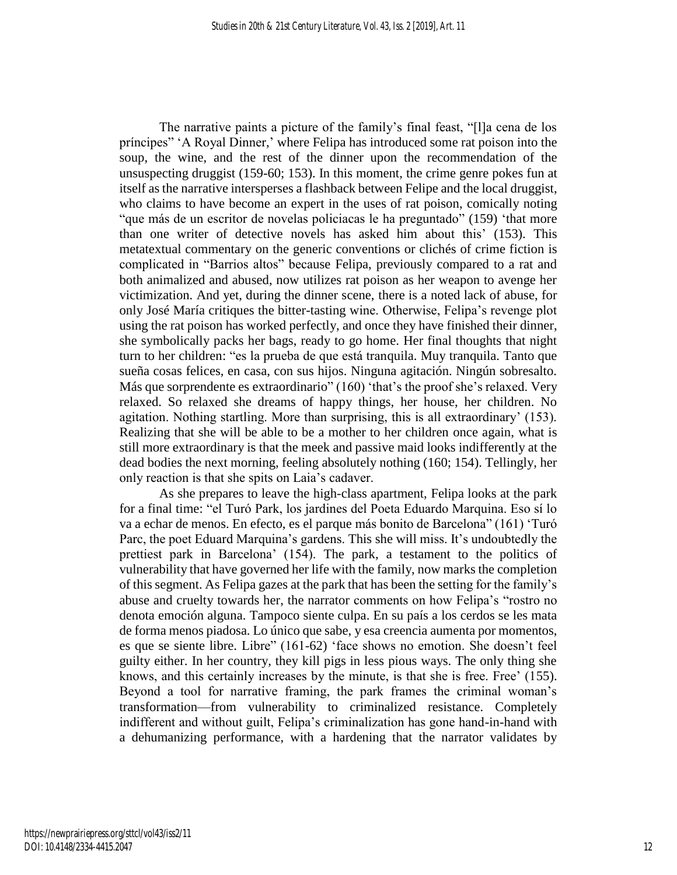The narrative paints a picture of the family's final feast, "[l]a cena de los príncipes" 'A Royal Dinner,' where Felipa has introduced some rat poison into the soup, the wine, and the rest of the dinner upon the recommendation of the unsuspecting druggist (159-60; 153). In this moment, the crime genre pokes fun at itself as the narrative intersperses a flashback between Felipe and the local druggist, who claims to have become an expert in the uses of rat poison, comically noting "que más de un escritor de novelas policiacas le ha preguntado" (159) 'that more than one writer of detective novels has asked him about this' (153). This metatextual commentary on the generic conventions or clichés of crime fiction is complicated in "Barrios altos" because Felipa, previously compared to a rat and both animalized and abused, now utilizes rat poison as her weapon to avenge her victimization. And yet, during the dinner scene, there is a noted lack of abuse, for only José María critiques the bitter-tasting wine. Otherwise, Felipa's revenge plot using the rat poison has worked perfectly, and once they have finished their dinner, she symbolically packs her bags, ready to go home. Her final thoughts that night turn to her children: "es la prueba de que está tranquila. Muy tranquila. Tanto que sueña cosas felices, en casa, con sus hijos. Ninguna agitación. Ningún sobresalto. Más que sorprendente es extraordinario" (160) 'that's the proof she's relaxed. Very relaxed. So relaxed she dreams of happy things, her house, her children. No agitation. Nothing startling. More than surprising, this is all extraordinary' (153). Realizing that she will be able to be a mother to her children once again, what is still more extraordinary is that the meek and passive maid looks indifferently at the dead bodies the next morning, feeling absolutely nothing (160; 154). Tellingly, her only reaction is that she spits on Laia's cadaver.

As she prepares to leave the high-class apartment, Felipa looks at the park for a final time: "el Turó Park, los jardines del Poeta Eduardo Marquina. Eso sí lo va a echar de menos. En efecto, es el parque más bonito de Barcelona" (161) 'Turó Parc, the poet Eduard Marquina's gardens. This she will miss. It's undoubtedly the prettiest park in Barcelona' (154). The park, a testament to the politics of vulnerability that have governed her life with the family, now marks the completion of this segment. As Felipa gazes at the park that has been the setting for the family's abuse and cruelty towards her, the narrator comments on how Felipa's "rostro no denota emoción alguna. Tampoco siente culpa. En su país a los cerdos se les mata de forma menos piadosa. Lo único que sabe, y esa creencia aumenta por momentos, es que se siente libre. Libre" (161-62) 'face shows no emotion. She doesn't feel guilty either. In her country, they kill pigs in less pious ways. The only thing she knows, and this certainly increases by the minute, is that she is free. Free' (155). Beyond a tool for narrative framing, the park frames the criminal woman's transformation—from vulnerability to criminalized resistance. Completely indifferent and without guilt, Felipa's criminalization has gone hand-in-hand with a dehumanizing performance, with a hardening that the narrator validates by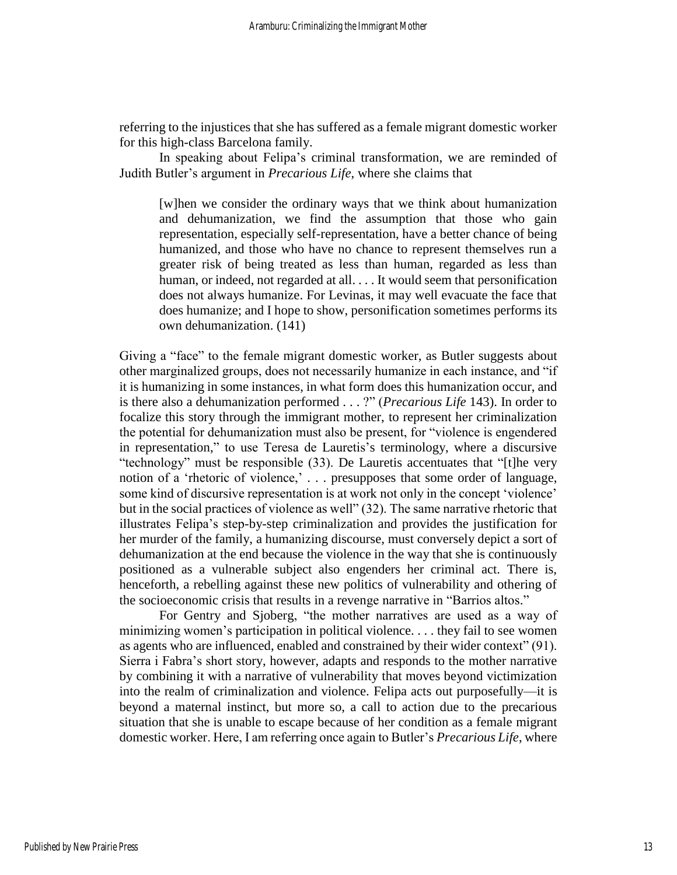referring to the injustices that she has suffered as a female migrant domestic worker for this high-class Barcelona family.

In speaking about Felipa's criminal transformation, we are reminded of Judith Butler's argument in *Precarious Life*, where she claims that

[w]hen we consider the ordinary ways that we think about humanization and dehumanization, we find the assumption that those who gain representation, especially self-representation, have a better chance of being humanized, and those who have no chance to represent themselves run a greater risk of being treated as less than human, regarded as less than human, or indeed, not regarded at all. . . . It would seem that personification does not always humanize. For Levinas, it may well evacuate the face that does humanize; and I hope to show, personification sometimes performs its own dehumanization. (141)

Giving a "face" to the female migrant domestic worker, as Butler suggests about other marginalized groups, does not necessarily humanize in each instance, and "if it is humanizing in some instances, in what form does this humanization occur, and is there also a dehumanization performed . . . ?" (*Precarious Life* 143). In order to focalize this story through the immigrant mother, to represent her criminalization the potential for dehumanization must also be present, for "violence is engendered in representation," to use Teresa de Lauretis's terminology, where a discursive "technology" must be responsible (33). De Lauretis accentuates that "[t]he very notion of a 'rhetoric of violence,' . . . presupposes that some order of language, some kind of discursive representation is at work not only in the concept 'violence' but in the social practices of violence as well" (32). The same narrative rhetoric that illustrates Felipa's step-by-step criminalization and provides the justification for her murder of the family, a humanizing discourse, must conversely depict a sort of dehumanization at the end because the violence in the way that she is continuously positioned as a vulnerable subject also engenders her criminal act. There is, henceforth, a rebelling against these new politics of vulnerability and othering of the socioeconomic crisis that results in a revenge narrative in "Barrios altos."

For Gentry and Sjoberg, "the mother narratives are used as a way of minimizing women's participation in political violence. . . . they fail to see women as agents who are influenced, enabled and constrained by their wider context" (91). Sierra i Fabra's short story, however, adapts and responds to the mother narrative by combining it with a narrative of vulnerability that moves beyond victimization into the realm of criminalization and violence. Felipa acts out purposefully—it is beyond a maternal instinct, but more so, a call to action due to the precarious situation that she is unable to escape because of her condition as a female migrant domestic worker. Here, I am referring once again to Butler's *Precarious Life*, where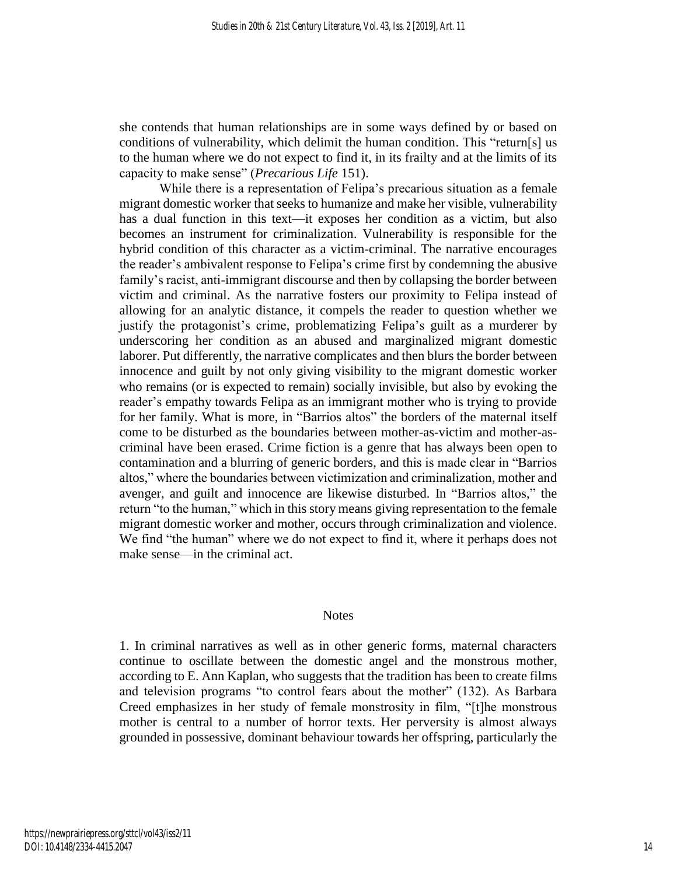she contends that human relationships are in some ways defined by or based on conditions of vulnerability, which delimit the human condition. This "return[s] us to the human where we do not expect to find it, in its frailty and at the limits of its capacity to make sense" (*Precarious Life* 151).

While there is a representation of Felipa's precarious situation as a female migrant domestic worker that seeks to humanize and make her visible, vulnerability has a dual function in this text—it exposes her condition as a victim, but also becomes an instrument for criminalization. Vulnerability is responsible for the hybrid condition of this character as a victim-criminal. The narrative encourages the reader's ambivalent response to Felipa's crime first by condemning the abusive family's racist, anti-immigrant discourse and then by collapsing the border between victim and criminal. As the narrative fosters our proximity to Felipa instead of allowing for an analytic distance, it compels the reader to question whether we justify the protagonist's crime, problematizing Felipa's guilt as a murderer by underscoring her condition as an abused and marginalized migrant domestic laborer. Put differently, the narrative complicates and then blurs the border between innocence and guilt by not only giving visibility to the migrant domestic worker who remains (or is expected to remain) socially invisible, but also by evoking the reader's empathy towards Felipa as an immigrant mother who is trying to provide for her family. What is more, in "Barrios altos" the borders of the maternal itself come to be disturbed as the boundaries between mother-as-victim and mother-ascriminal have been erased. Crime fiction is a genre that has always been open to contamination and a blurring of generic borders, and this is made clear in "Barrios altos," where the boundaries between victimization and criminalization, mother and avenger, and guilt and innocence are likewise disturbed. In "Barrios altos," the return "to the human," which in this story means giving representation to the female migrant domestic worker and mother, occurs through criminalization and violence. We find "the human" where we do not expect to find it, where it perhaps does not make sense—in the criminal act.

#### **Notes**

1. In criminal narratives as well as in other generic forms, maternal characters continue to oscillate between the domestic angel and the monstrous mother, according to E. Ann Kaplan, who suggests that the tradition has been to create films and television programs "to control fears about the mother" (132). As Barbara Creed emphasizes in her study of female monstrosity in film, "[t]he monstrous mother is central to a number of horror texts. Her perversity is almost always grounded in possessive, dominant behaviour towards her offspring, particularly the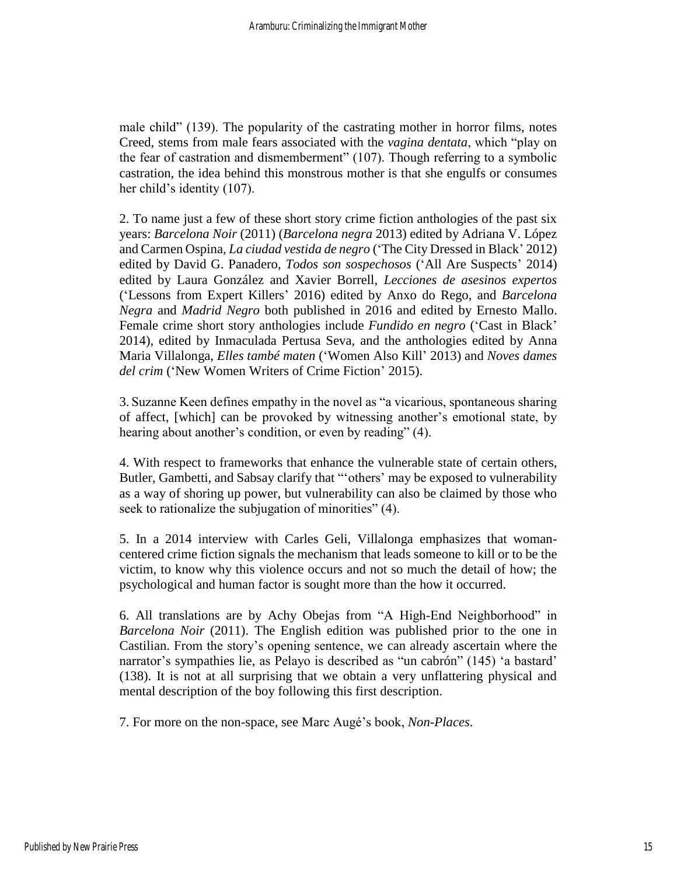male child" (139). The popularity of the castrating mother in horror films, notes Creed, stems from male fears associated with the *vagina dentata*, which "play on the fear of castration and dismemberment" (107). Though referring to a symbolic castration, the idea behind this monstrous mother is that she engulfs or consumes her child's identity (107).

2. To name just a few of these short story crime fiction anthologies of the past six years: *Barcelona Noir* (2011) (*Barcelona negra* 2013) edited by Adriana V. López and Carmen Ospina, *La ciudad vestida de negro* ('The City Dressed in Black' 2012) edited by David G. Panadero, *Todos son sospechosos* ('All Are Suspects' 2014) edited by Laura González and Xavier Borrell, *Lecciones de asesinos expertos* ('Lessons from Expert Killers' 2016) edited by Anxo do Rego, and *Barcelona Negra* and *Madrid Negro* both published in 2016 and edited by Ernesto Mallo. Female crime short story anthologies include *Fundido en negro* ('Cast in Black' 2014), edited by Inmaculada Pertusa Seva, and the anthologies edited by Anna Maria Villalonga, *Elles també maten* ('Women Also Kill' 2013) and *Noves dames del crim* ('New Women Writers of Crime Fiction' 2015).

3. Suzanne Keen defines empathy in the novel as "a vicarious, spontaneous sharing of affect, [which] can be provoked by witnessing another's emotional state, by hearing about another's condition, or even by reading" (4).

4. With respect to frameworks that enhance the vulnerable state of certain others, Butler, Gambetti, and Sabsay clarify that "'others' may be exposed to vulnerability as a way of shoring up power, but vulnerability can also be claimed by those who seek to rationalize the subjugation of minorities" (4).

5. In a 2014 interview with Carles Geli, Villalonga emphasizes that womancentered crime fiction signals the mechanism that leads someone to kill or to be the victim, to know why this violence occurs and not so much the detail of how; the psychological and human factor is sought more than the how it occurred.

6. All translations are by Achy Obejas from "A High-End Neighborhood" in *Barcelona Noir* (2011). The English edition was published prior to the one in Castilian. From the story's opening sentence, we can already ascertain where the narrator's sympathies lie, as Pelayo is described as "un cabrón" (145) 'a bastard' (138). It is not at all surprising that we obtain a very unflattering physical and mental description of the boy following this first description.

7. For more on the non-space, see Marc Augé's book, *Non-Places*.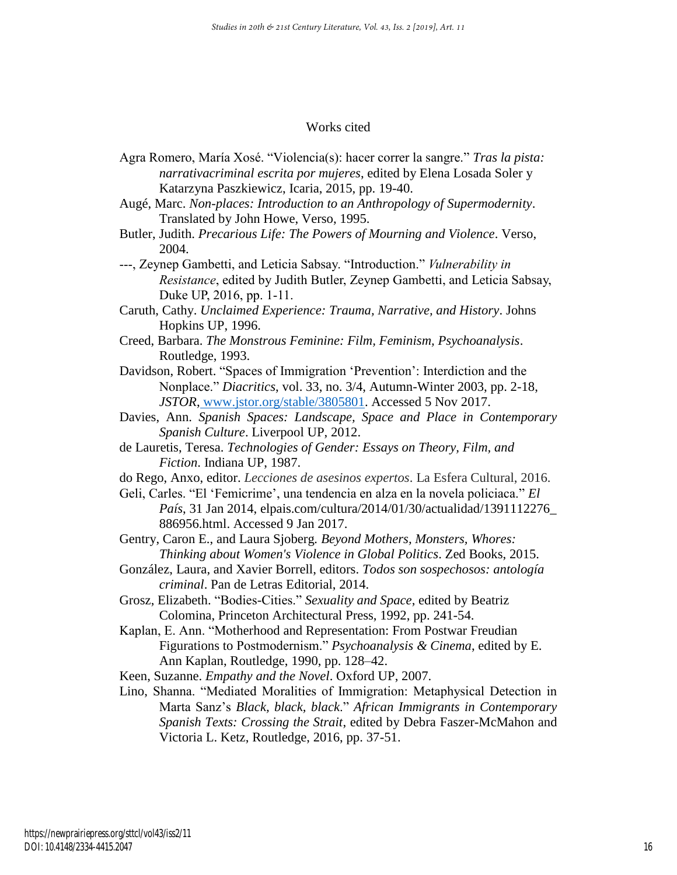#### Works cited

- Agra Romero, María Xosé. "Violencia(s): hacer correr la sangre." *Tras la pista: narrativacriminal escrita por mujeres*, edited by Elena Losada Soler y Katarzyna Paszkiewicz, Icaria, 2015, pp. 19-40.
- Augé, Marc. *Non-places: Introduction to an Anthropology of Supermodernity*. Translated by John Howe, Verso, 1995.
- Butler, Judith. *Precarious Life: The Powers of Mourning and Violence*. Verso, 2004.
- ---, Zeynep Gambetti, and Leticia Sabsay. "Introduction." *Vulnerability in Resistance*, edited by Judith Butler, Zeynep Gambetti, and Leticia Sabsay, Duke UP, 2016, pp. 1-11.
- Caruth, Cathy. *Unclaimed Experience: Trauma, Narrative, and History*. Johns Hopkins UP, 1996.
- Creed, Barbara. *The Monstrous Feminine: Film, Feminism, Psychoanalysis*. Routledge, 1993.
- Davidson, Robert. "Spaces of Immigration 'Prevention': Interdiction and the Nonplace." *Diacritics*, vol. 33, no. 3/4, Autumn-Winter 2003, pp. 2-18, *JSTOR*, [www.jstor.org/stable/3805801.](http://www.jstor.org/stable/3805801) Accessed 5 Nov 2017.
- Davies, Ann. *Spanish Spaces: Landscape, Space and Place in Contemporary Spanish Culture*. Liverpool UP, 2012.
- de Lauretis, Teresa. *Technologies of Gender: Essays on Theory, Film, and Fiction*. Indiana UP, 1987.
- do Rego, Anxo, editor. *Lecciones de asesinos expertos*. La Esfera Cultural, 2016.
- Geli, Carles. "El 'Femicrime', una tendencia en alza en la novela policiaca." *El País*, 31 Jan 2014, elpais.com/cultura/2014/01/30/actualidad/1391112276\_ 886956.html. Accessed 9 Jan 2017.
- Gentry, Caron E., and Laura Sjoberg*. Beyond Mothers, Monsters, Whores: Thinking about Women's Violence in Global Politics*. Zed Books, 2015.
- González, Laura, and Xavier Borrell, editors. *Todos son sospechosos: antología criminal*. Pan de Letras Editorial, 2014.
- Grosz, Elizabeth. "Bodies-Cities." *Sexuality and Space*, edited by Beatriz Colomina, Princeton Architectural Press, 1992, pp. 241-54.
- Kaplan, E. Ann. "Motherhood and Representation: From Postwar Freudian Figurations to Postmodernism." *Psychoanalysis & Cinema*, edited by E. Ann Kaplan, Routledge, 1990, pp. 128–42.
- Keen, Suzanne. *Empathy and the Novel*. Oxford UP, 2007.
- Lino, Shanna. "Mediated Moralities of Immigration: Metaphysical Detection in Marta Sanz's *Black, black, black*." *African Immigrants in Contemporary Spanish Texts: Crossing the Strait*, edited by Debra Faszer-McMahon and Victoria L. Ketz, Routledge, 2016, pp. 37-51.